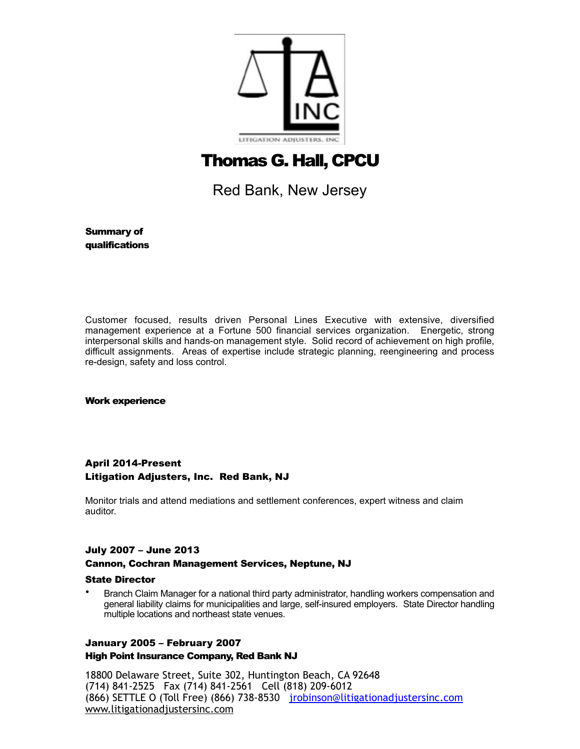

# Thomas G. Hall, CPCU

Red Bank, New Jersey

Summary of qualifications

Customer focused, results driven Personal Lines Executive with extensive, diversified management experience at a Fortune 500 financial services organization. Energetic, strong interpersonal skills and hands-on management style. Solid record of achievement on high profile, difficult assignments. Areas of expertise include strategic planning, reengineering and process re-design, safety and loss control.

Work experience

# April 2014-Present Litigation Adjusters, Inc. Red Bank, NJ

Monitor trials and attend mediations and settlement conferences, expert witness and claim auditor.

# July 2007 – June 2013 Cannon, Cochran Management Services, Neptune, NJ

# State Director

• Branch Claim Manager for a national third party administrator, handling workers compensation and general liability claims for municipalities and large, self-insured employers. State Director handling multiple locations and northeast state venues.

# January 2005 – February 2007

High Point Insurance Company, Red Bank NJ

18800 Delaware Street, Suite 302, Huntington Beach, CA 92648 (714) 841-2525 Fax (714) 841-2561 Cell (818) 209-6012 (866) SETTLE O (Toll Free) (866) 738-8530 [jrobinson@litigationadjustersinc.com](mailto:jrobinson@litigationadjustersinc.com) www.litigationadjustersinc.com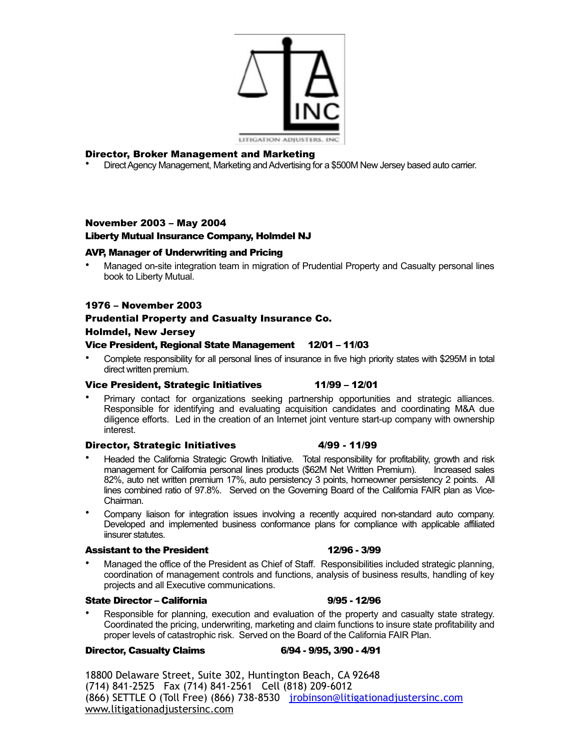

# Director, Broker Management and Marketing

• Direct Agency Management, Marketing and Advertising for a \$500M New Jersey based auto carrier.

# November 2003 – May 2004

# Liberty Mutual Insurance Company, Holmdel NJ

# AVP, Manager of Underwriting and Pricing

• Managed on-site integration team in migration of Prudential Property and Casualty personal lines book to Liberty Mutual.

# 1976 – November 2003

# Prudential Property and Casualty Insurance Co.

### Holmdel, New Jersey

# Vice President, Regional State Management 12/01 – 11/03

• Complete responsibility for all personal lines of insurance in five high priority states with \$295M in total direct written premium.

# Vice President, Strategic Initiatives 11/99 – 12/01

• Primary contact for organizations seeking partnership opportunities and strategic alliances. Responsible for identifying and evaluating acquisition candidates and coordinating M&A due diligence efforts. Led in the creation of an Internet joint venture start-up company with ownership interest.

### Director, Strategic Initiatives 4/99 - 11/99

- Headed the California Strategic Growth Initiative. Total responsibility for profitability, growth and risk management for California personal lines products (\$62M Net Written Premium). Increased sales 82%, auto net written premium 17%, auto persistency 3 points, homeowner persistency 2 points. All lines combined ratio of 97.8%. Served on the Governing Board of the California FAIR plan as Vice-Chairman.
- Company liaison for integration issues involving a recently acquired non-standard auto company. Developed and implemented business conformance plans for compliance with applicable affiliated iinsurer statutes.

### Assistant to the President 12/96 - 3/99

• Managed the office of the President as Chief of Staff. Responsibilities included strategic planning, coordination of management controls and functions, analysis of business results, handling of key projects and all Executive communications.

# State Director – California 9/95 - 12/96

• Responsible for planning, execution and evaluation of the property and casualty state strategy. Coordinated the pricing, underwriting, marketing and claim functions to insure state profitability and proper levels of catastrophic risk. Served on the Board of the California FAIR Plan.

### Director, Casualty Claims 6/94 - 9/95, 3/90 - 4/91

18800 Delaware Street, Suite 302, Huntington Beach, CA 92648 (714) 841-2525 Fax (714) 841-2561 Cell (818) 209-6012 (866) SETTLE O (Toll Free) (866) 738-8530 jrobinson@litigationadjustersinc.com www.litigationadjustersinc.com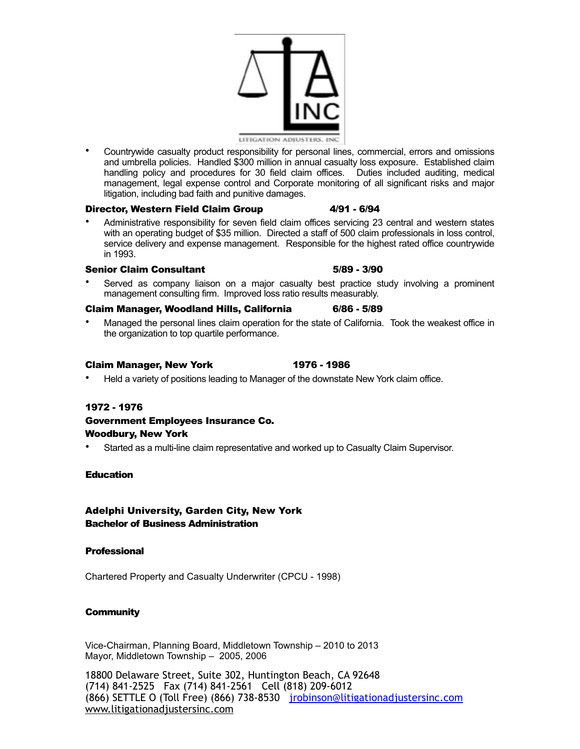

• Countrywide casualty product responsibility for personal lines, commercial, errors and omissions and umbrella policies. Handled \$300 million in annual casualty loss exposure. Established claim handling policy and procedures for 30 field claim offices. Duties included auditing, medical management, legal expense control and Corporate monitoring of all significant risks and major litigation, including bad faith and punitive damages.

# Director, Western Field Claim Group 4/91 - 6/94

• Administrative responsibility for seven field claim offices servicing 23 central and western states with an operating budget of \$35 million. Directed a staff of 500 claim professionals in loss control, service delivery and expense management. Responsible for the highest rated office countrywide in 1993.

# Senior Claim Consultant 5/89 - 3/90

• Served as company liaison on a major casualty best practice study involving a prominent management consulting firm. Improved loss ratio results measurably.

# Claim Manager, Woodland Hills, California 6/86 - 5/89

Managed the personal lines claim operation for the state of California. Took the weakest office in the organization to top quartile performance.

# Claim Manager, New York 1976 - 1986

• Held a variety of positions leading to Manager of the downstate New York claim office.

# 1972 - 1976

# Government Employees Insurance Co. Woodbury, New York

• Started as a multi-line claim representative and worked up to Casualty Claim Supervisor.

# **Education**

# Adelphi University, Garden City, New York Bachelor of Business Administration

# **Professional**

Chartered Property and Casualty Underwriter (CPCU - 1998)

# **Community**

Vice-Chairman, Planning Board, Middletown Township – 2010 to 2013 Mayor, Middletown Township – 2005, 2006

18800 Delaware Street, Suite 302, Huntington Beach, CA 92648 (714) 841-2525 Fax (714) 841-2561 Cell (818) 209-6012 (866) SETTLE O (Toll Free) (866) 738-8530 jrobinson@litigationadjustersinc.com www.litigationadjustersinc.com